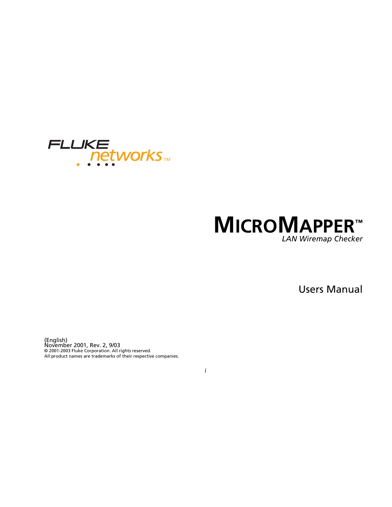

# **MICROMAPPER™** *LAN Wiremap Checker*

Users Manual

(English) November 2001, Rev. 2, 9/03 © 2001-2003 Fluke Corporation. All rights reserved. All product names are trademarks of their respective companies.

*i*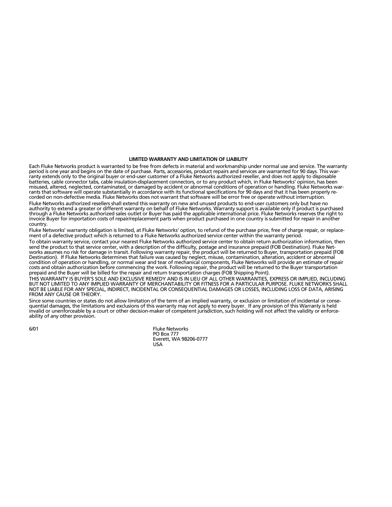#### **LIMITED WARRANTY AND LIMITATION OF LIABILITY**

Each Fluke Networks product is warranted to be free from defects in material and workmanship under normal use and service. The warranty period is one year and begins on the date of purchase. Parts, accessories, product repairs and services are warranted for 90 days. This warranty extends only to the original buyer or end-user customer of a Fluke Networks authorized reseller, and does not apply to disposable batteries, cable connector tabs, cable insulation-displacement connectors, or to any product which, in Fluke Networks' opinion, has been misused, altered, neglected, contaminated, or damaged by accident or abnormal conditions of operation or handling. Fluke Networks warrants that software will operate substantially in accordance with its functional specifications for 90 days and that it has been properly recorded on non-defective media. Fluke Networks does not warrant that software will be error free or operate without interruption.

Fluke Networks authorized resellers shall extend this warranty on new and unused products to end-user customers only but have no authority to extend a greater or different warranty on behalf of Fluke Networks. Warranty support is available only if product is purchased through a Fluke Networks authorized sales outlet or Buyer has paid the applicable international price. Fluke Networks reserves the right to invoice Buyer for importation costs of repair/replacement parts when product purchased in one country is submitted for repair in another country.

Fluke Networks' warranty obligation is limited, at Fluke Networks' option, to refund of the purchase price, free of charge repair, or replacement of a defective product which is returned to a Fluke Networks authorized service center within the warranty period.

To obtain warranty service, contact your nearest Fluke Networks authorized service center to obtain return authorization information, then send the product to that service center, with a description of the difficulty, postage and insurance prepaid (FOB Destination). Fluke Networks assumes no risk for damage in transit. Following warranty repair, the product will be returned to Buyer, transportation prepaid (FOB Destination). If Fluke Networks determines that failure was caused by neglect, misuse, contamination, alteration, accident or abnormal condition of operation or handling, or normal wear and tear of mechanical components, Fluke Networks will provide an estimate of repair costs and obtain authorization before commencing the work. Following repair, the product will be returned to the Buyer transportation prepaid and the Buyer will be billed for the repair and return transportation charges (FOB Shipping Point).

THIS WARRANTY IS BUYER'S SOLE AND EXCLUSIVE REMEDY AND IS IN LIEU OF ALL OTHER WARRANTIES, EXPRESS OR IMPLIED, INCLUDING BUT NOT LIMITED TO ANY IMPLIED WARRANTY OF MERCHANTABILITY OR FITNESS FOR A PARTICULAR PURPOSE. FLUKE NETWORKS SHALL NOT BE LIABLE FOR ANY SPECIAL, INDIRECT, INCIDENTAL OR CONSEQUENTIAL DAMAGES OR LOSSES, INCLUDING LOSS OF DATA, ARISING FROM ANY CAUSE OR THEORY.

Since some countries or states do not allow limitation of the term of an implied warranty, or exclusion or limitation of incidental or consequential damages, the limitations and exclusions of this warranty may not apply to every buyer. If any provision of this Warranty is held invalid or unenforceable by a court or other decision-maker of competent jurisdiction, such holding will not affect the validity or enforceability of any other provision.

6/01 Fluke Networks PO Box 777 Everett, WA 98206-0777 USA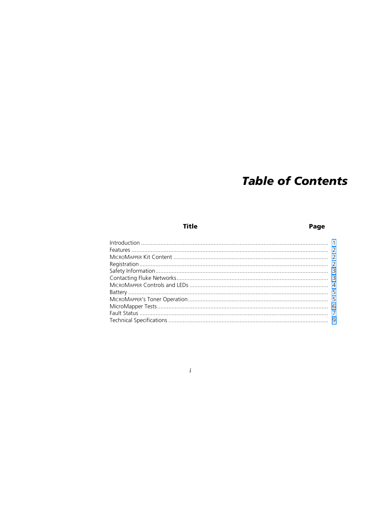# **Table of Contents**

**Title** 

### Page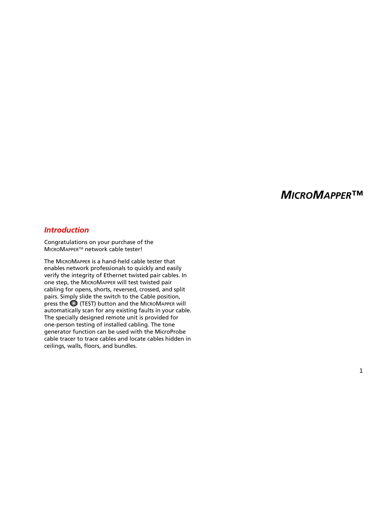# *MICRO MAPPER ™*

### <span id="page-4-0"></span>*Introduction*

Congratulations on your purchase of the MICROMAPPER™ network cable tester!

The MICRO MAPPER is a hand-held cable tester that enables network professionals to quickly and easily verify the integrity of Ethernet twisted pair cables. In one step, the MICRO MAPPER will test twisted pair cabling for opens, shorts, reversed, crossed, and split pairs. Simply slide the switch to the Cable position, press the (TEST) button and the MICRO MAPPER will automatically scan for any existing faults in your cable. The specially designed remote unit is provided for one-person testing of installed cabling. The tone generator function can be used with the MicroProbe cable tracer to trace cables and locate cables hidden in ceilings, walls, floors, and bundles.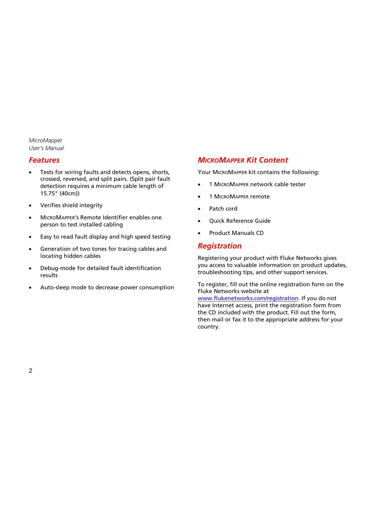# <span id="page-5-0"></span>*Features*

- Tests for wiring faults and detects opens, shorts, crossed, reversed, and split pairs. (Split pair fault detection requires a minimum cable length of 15.75" (40cm))
- Verifies shield integrity
- MICROMAPPER's Remote Identifier enables one person to test installed cabling
- Easy to read fault display and high speed testing
- Generation of two tones for tracing cables and locating hidden cables
- Debug-mode for detailed fault identification results
- Auto-sleep mode to decrease power consumption

# *MICROMAPPER Kit Content*

Your MICROMAPPER kit contains the following:

- 1 MICROMAPPER network cable tester
- 1 MICROMAPPER remote
- Patch cord
- Quick Reference Guide
- Product Manuals CD

## *Registration*

Registering your product with Fluke Networks gives you access to valuable information on product updates, troubleshooting tips, and other support services.

To register, fill out the online registration form on the Fluke Networks website at [www.flukenetworks.com/registration.](http://flukenetworks.com/registration) If you do not have Internet access, print the registration form from the CD included with the product. Fill out the form, then mail or fax it to the appropriate address for your country.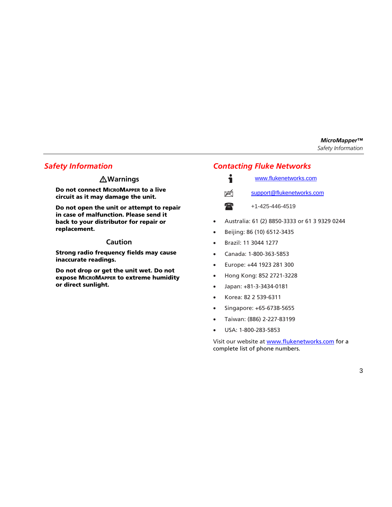# <span id="page-6-0"></span>*Safety Information*

## **Warnings**

**Do not connect MICROMAPPER to a live circuit as it may damage the unit.**

**Do not open the unit or attempt to repair in case of malfunction. Please send it back to your distributor for repair or replacement.**

### **Caution**

**Strong radio frequency fields may cause inaccurate readings.**

**Do not drop or get the unit wet. Do not expose MICROMAPPER to extreme humidity or direct sunlight.**

# *Contacting Fluke Networks*



 $\mathbb{X}$ 

- [www.flukenetworks.com](http://flukenetworks.com)
- support@flukenetworks.com
- $\textcolor{red}{\blacksquare}$ 
	- +1-425-446-4519
- Australia: 61 (2) 8850-3333 or 61 3 9329 0244
- Beijing: 86 (10) 6512-3435
- Brazil: 11 3044 1277
- Canada: 1-800-363-5853
- Europe: +44 1923 281 300
- Hong Kong: 852 2721-3228
- Japan: +81-3-3434-0181
- Korea: 82 2 539-6311
- Singapore: +65-6738-5655
- Taiwan: (886) 2-227-83199
- USA: 1-800-283-5853

Visit our website at [www.flukenetworks.com](http://flukenetworks.com) for a complete list of phone numbers.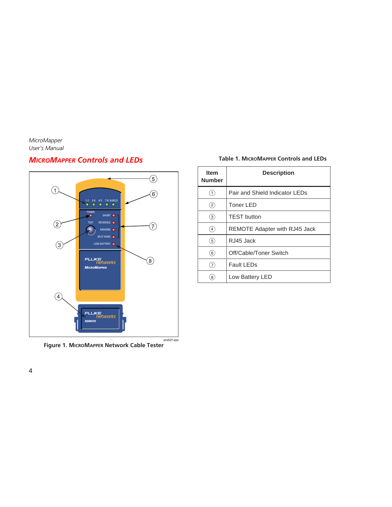# <span id="page-7-0"></span>*MICROMAPPER Controls and LEDs*



#### **Table 1. MICROMAPPER Controls and LEDs**

| <b>Item</b><br><b>Number</b> | <b>Description</b>                   |
|------------------------------|--------------------------------------|
| $\left(1\right)$             | Pair and Shield Indicator LEDs       |
| $\left( 2\right)$            | Toner LED                            |
| (3)                          | <b>TEST button</b>                   |
| $\left( 4\right)$            | <b>REMOTE Adapter with RJ45 Jack</b> |
| $\left(5\right)$             | RJ45 Jack                            |
| (6)                          | Off/Cable/Toner Switch               |
| $\overline{7}$               | <b>Fault LEDs</b>                    |
| 8                            | Low Battery LED                      |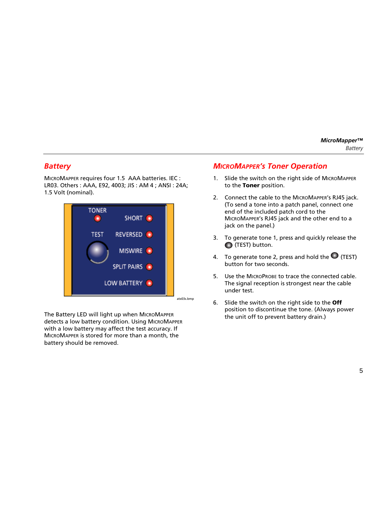# <span id="page-8-0"></span>*Battery*

MICROMAPPER requires four 1.5 AAA batteries. IEC : LR03. Others : AAA, E92, 4003; JIS : AM 4 ; ANSI : 24A; 1.5 Volt (nominal).



The Battery LED will light up when MICROMAPPER detects a low battery condition. Using MICROMAPPER with a low battery may affect the test accuracy. If MICROMAPPER is stored for more than a month, the battery should be removed.

# *MICROMAPPER's Toner Operation*

- 1. Slide the switch on the right side of MICROMAPPER to the **Toner** position.
- 2. Connect the cable to the MICROMAPPER's RJ45 jack. (To send a tone into a patch panel, connect one end of the included patch cord to the MICROMAPPER's RJ45 jack and the other end to a jack on the panel.)
- 3. To generate tone 1, press and quickly release the (TEST) button.
- 4. To generate tone 2, press and hold the  $\bigcirc$  (TEST) button for two seconds.
- 5. Use the MICROPROBE to trace the connected cable. The signal reception is strongest near the cable under test.
- 6. Slide the switch on the right side to the **Off** position to discontinue the tone. (Always power the unit off to prevent battery drain.)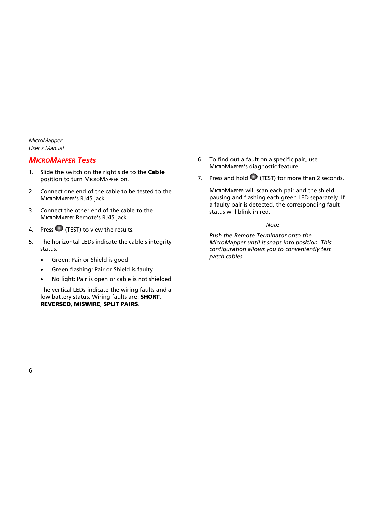# <span id="page-9-0"></span>*MICROMAPPER Tests*

- 1. Slide the switch on the right side to the **Cable** position to turn MICROMAPPER on.
- 2. Connect one end of the cable to be tested to the MICROMAPPER's RJ45 jack.
- 3. Connect the other end of the cable to the MICROMAPPEr Remote's RJ45 jack.
- 4. Press  $\bigcirc$  (TEST) to view the results.
- 5. The horizontal LEDs indicate the cable's integrity status.
	- Green: Pair or Shield is good
	- Green flashing: Pair or Shield is faulty
	- No light: Pair is open or cable is not shielded

The vertical LEDs indicate the wiring faults and a low battery status. Wiring faults are: **SHORT**, **REVERSED**, **MISWIRE**, **SPLIT PAIRS**.

- 6. To find out a fault on a specific pair, use MICROMAPPER's diagnostic feature.
- 7. Press and hold  $\bigcirc$  (TEST) for more than 2 seconds.

MICROMAPPER will scan each pair and the shield pausing and flashing each green LED separately. If a faulty pair is detected, the corresponding fault status will blink in red.

### *Not*e

*Push the Remote Terminator onto the MicroMapper until it snaps into position. This configuration allows you to conveniently test patch cables.*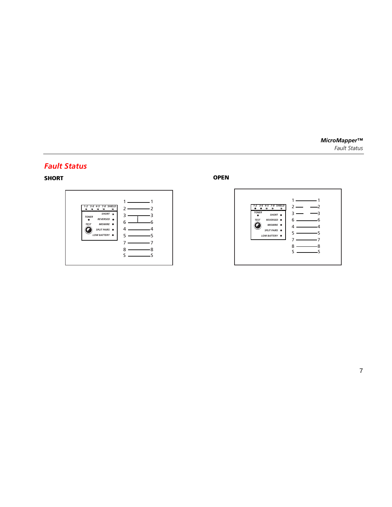## <span id="page-10-0"></span>*Fault Status*

**SHORT**



**OPEN**

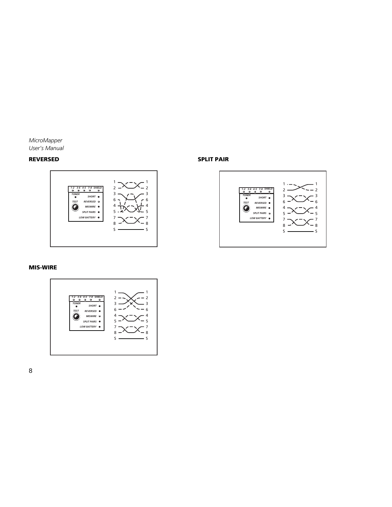#### **REVERSED**



#### **SPLIT PAIR**



#### **MIS-WIRE**